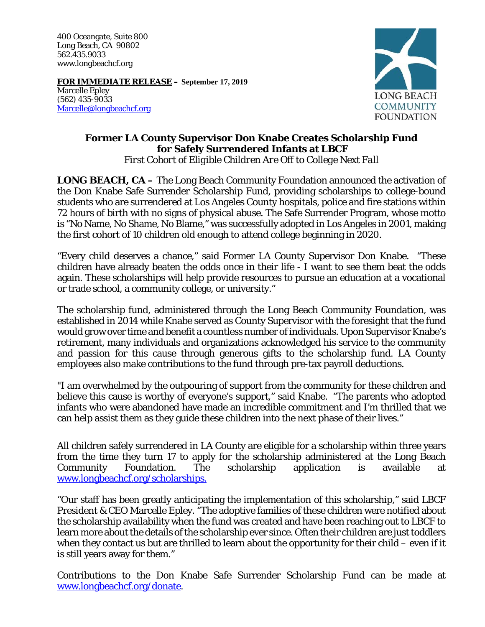400 Oceangate, Suite 800 Long Beach, CA 90802 562.435.9033 www.longbeachcf.org

**FOR IMMEDIATE RELEASE – September 17, 2019**  Marcelle Epley (562) 435-9033 Marcelle@longbeachcf.org



## **Former LA County Supervisor Don Knabe Creates Scholarship Fund for Safely Surrendered Infants at LBCF**

*First Cohort of Eligible Children Are Off to College Next Fall* 

**LONG BEACH, CA** – The Long Beach Community Foundation announced the activation of the Don Knabe Safe Surrender Scholarship Fund, providing scholarships to college-bound students who are surrendered at Los Angeles County hospitals, police and fire stations within 72 hours of birth with no signs of physical abuse. The Safe Surrender Program, whose motto is "No Name, No Shame, No Blame," was successfully adopted in Los Angeles in 2001, making the first cohort of 10 children old enough to attend college beginning in 2020.

"Every child deserves a chance," said Former LA County Supervisor Don Knabe. "These children have already beaten the odds once in their life - I want to see them beat the odds again. These scholarships will help provide resources to pursue an education at a vocational or trade school, a community college, or university."

The scholarship fund, administered through the Long Beach Community Foundation, was established in 2014 while Knabe served as County Supervisor with the foresight that the fund would grow over time and benefit a countless number of individuals. Upon Supervisor Knabe's retirement, many individuals and organizations acknowledged his service to the community and passion for this cause through generous gifts to the scholarship fund. LA County employees also make contributions to the fund through pre-tax payroll deductions.

"I am overwhelmed by the outpouring of support from the community for these children and believe this cause is worthy of everyone's support," said Knabe. "The parents who adopted infants who were abandoned have made an incredible commitment and I'm thrilled that we can help assist them as they guide these children into the next phase of their lives."

All children safely surrendered in LA County are eligible for a scholarship within three years from the time they turn 17 to apply for the scholarship administered at the Long Beach Community Foundation. The scholarship application is available at www.longbeachcf.org/scholarships.

"Our staff has been greatly anticipating the implementation of this scholarship," said LBCF President & CEO Marcelle Epley. "The adoptive families of these children were notified about the scholarship availability when the fund was created and have been reaching out to LBCF to learn more about the details of the scholarship ever since. Often their children are just toddlers when they contact us but are thrilled to learn about the opportunity for their child – even if it is still years away for them."

Contributions to the Don Knabe Safe Surrender Scholarship Fund can be made at www.longbeachcf.org/donate.